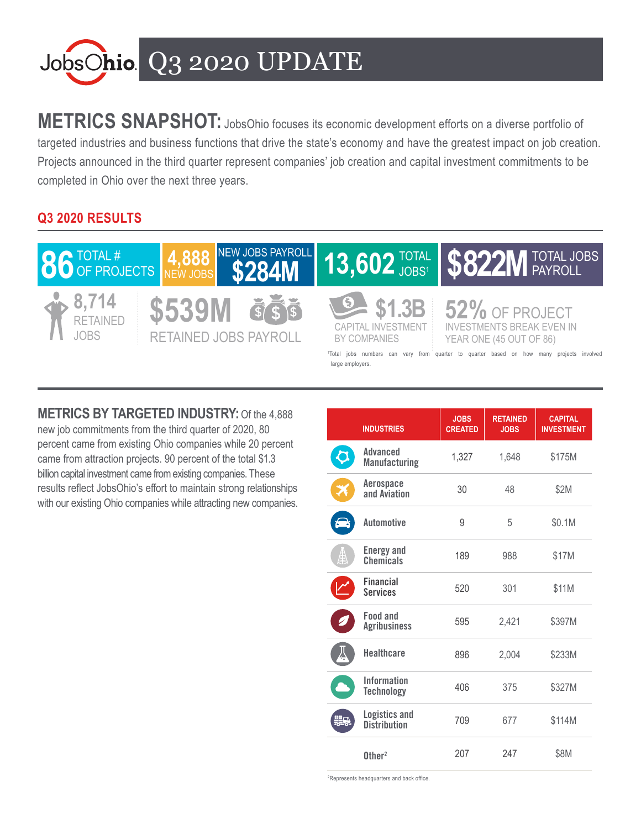

**METRICS SNAPSHOT:** JobsOhio focuses its economic development efforts on a diverse portfolio of targeted industries and business functions that drive the state's economy and have the greatest impact on job creation. Projects announced in the third quarter represent companies' job creation and capital investment commitments to be completed in Ohio over the next three years.

## **Q3 2020 RESULTS**



**METRICS BY TARGETED INDUSTRY:** Of the 4,888 new job commitments from the third quarter of 2020, 80 percent came from existing Ohio companies while 20 percent came from attraction projects. 90 percent of the total \$1.3 billion capital investment came from existing companies. These results reflect JobsOhio's effort to maintain strong relationships with our existing Ohio companies while attracting new companies.

|    | <b>INDUSTRIES</b>                           | <b>JOBS</b><br><b>CREATED</b> | <b>RETAINED</b><br><b>JOBS</b> | <b>CAPITAL</b><br><b>INVESTMENT</b> |
|----|---------------------------------------------|-------------------------------|--------------------------------|-------------------------------------|
|    | Advanced<br><b>Manufacturing</b>            | 1,327                         | 1,648                          | \$175M                              |
| ≭  | Aerospace<br>and Aviation                   | 30                            | 48                             | \$2M                                |
|    | <b>Automotive</b>                           | 9                             | 5                              | \$0.1M                              |
| ₿  | <b>Energy and</b><br>Chemicals              | 189                           | 988                            | \$17M                               |
|    | <b>Financial</b><br><b>Services</b>         | 520                           | 301                            | \$11M                               |
|    | <b>Food and</b><br><b>Agribusiness</b>      | 595                           | 2,421                          | \$397M                              |
|    | <b>Healthcare</b>                           | 896                           | 2,004                          | \$233M                              |
|    | <b>Information</b><br><b>Technology</b>     | 406                           | 375                            | \$327M                              |
| ₩8 | <b>Logistics and</b><br><b>Distribution</b> | 709                           | 677                            | \$114M                              |
|    | $0$ ther <sup>2</sup>                       | 207                           | 247                            | \$8M                                |

2 Represents headquarters and back office.